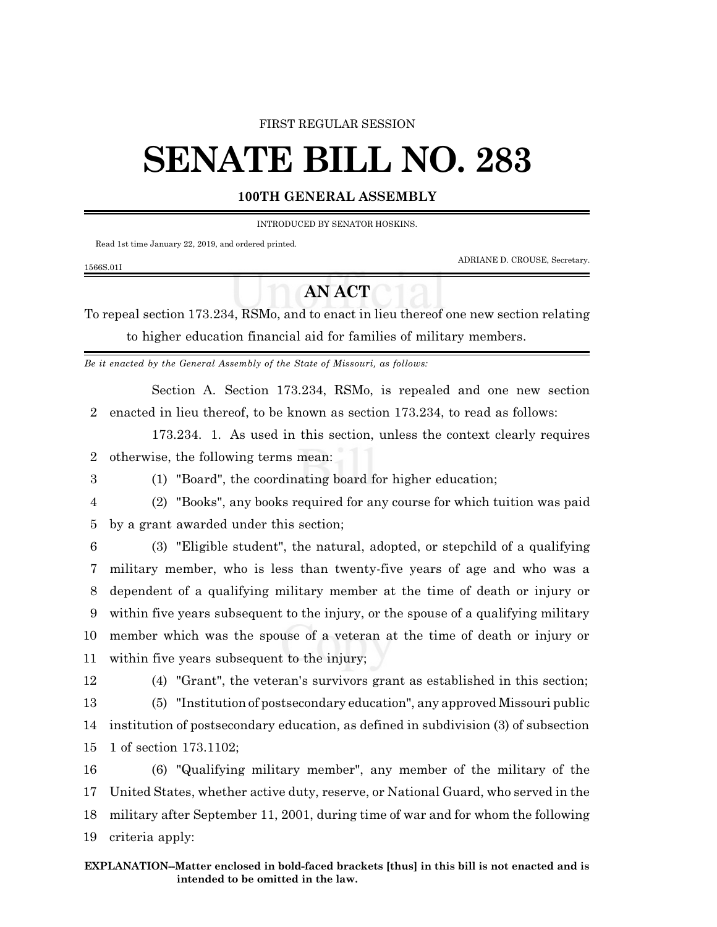## FIRST REGULAR SESSION

## **SENATE BILL NO. 283**

## **100TH GENERAL ASSEMBLY**

INTRODUCED BY SENATOR HOSKINS.

Read 1st time January 22, 2019, and ordered printed.

ADRIANE D. CROUSE, Secretary.

## **AN ACT**

To repeal section 173.234, RSMo, and to enact in lieu thereof one new section relating to higher education financial aid for families of military members.

*Be it enacted by the General Assembly of the State of Missouri, as follows:*

Section A. Section 173.234, RSMo, is repealed and one new section 2 enacted in lieu thereof, to be known as section 173.234, to read as follows:

173.234. 1. As used in this section, unless the context clearly requires 2 otherwise, the following terms mean:

- 3 (1) "Board", the coordinating board for higher education;
- 

1566S.01I

4 (2) "Books", any books required for any course for which tuition was paid

5 by a grant awarded under this section;

 (3) "Eligible student", the natural, adopted, or stepchild of a qualifying military member, who is less than twenty-five years of age and who was a dependent of a qualifying military member at the time of death or injury or within five years subsequent to the injury, or the spouse of a qualifying military member which was the spouse of a veteran at the time of death or injury or within five years subsequent to the injury;

12 (4) "Grant", the veteran's survivors grant as established in this section;

13 (5) "Institution of postsecondary education", any approved Missouri public 14 institution of postsecondary education, as defined in subdivision (3) of subsection 15 1 of section 173.1102;

 (6) "Qualifying military member", any member of the military of the United States, whether active duty, reserve, or National Guard, who served in the military after September 11, 2001, during time of war and for whom the following criteria apply: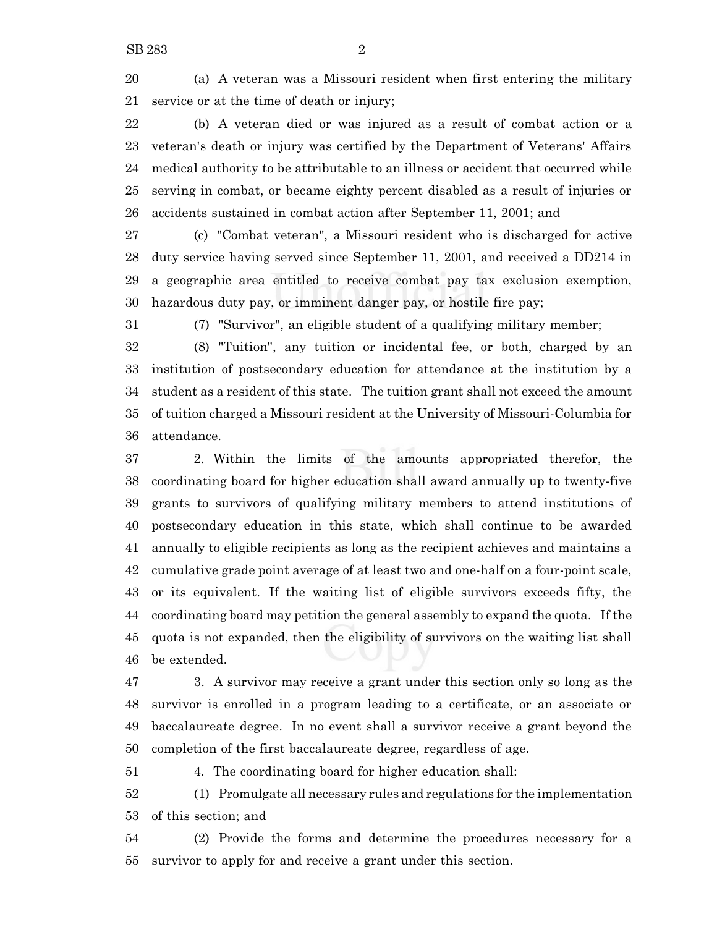(a) A veteran was a Missouri resident when first entering the military service or at the time of death or injury;

 (b) A veteran died or was injured as a result of combat action or a veteran's death or injury was certified by the Department of Veterans' Affairs medical authority to be attributable to an illness or accident that occurred while serving in combat, or became eighty percent disabled as a result of injuries or accidents sustained in combat action after September 11, 2001; and

 (c) "Combat veteran", a Missouri resident who is discharged for active duty service having served since September 11, 2001, and received a DD214 in a geographic area entitled to receive combat pay tax exclusion exemption, hazardous duty pay, or imminent danger pay, or hostile fire pay;

(7) "Survivor", an eligible student of a qualifying military member;

 (8) "Tuition", any tuition or incidental fee, or both, charged by an institution of postsecondary education for attendance at the institution by a student as a resident of this state. The tuition grant shall not exceed the amount of tuition charged a Missouri resident at the University of Missouri-Columbia for attendance.

 2. Within the limits of the amounts appropriated therefor, the coordinating board for higher education shall award annually up to twenty-five grants to survivors of qualifying military members to attend institutions of postsecondary education in this state, which shall continue to be awarded annually to eligible recipients as long as the recipient achieves and maintains a cumulative grade point average of at least two and one-half on a four-point scale, or its equivalent. If the waiting list of eligible survivors exceeds fifty, the coordinating board may petition the general assembly to expand the quota. If the quota is not expanded, then the eligibility of survivors on the waiting list shall be extended.

 3. A survivor may receive a grant under this section only so long as the survivor is enrolled in a program leading to a certificate, or an associate or baccalaureate degree. In no event shall a survivor receive a grant beyond the completion of the first baccalaureate degree, regardless of age.

4. The coordinating board for higher education shall:

 (1) Promulgate all necessary rules and regulations for the implementation of this section; and

 (2) Provide the forms and determine the procedures necessary for a survivor to apply for and receive a grant under this section.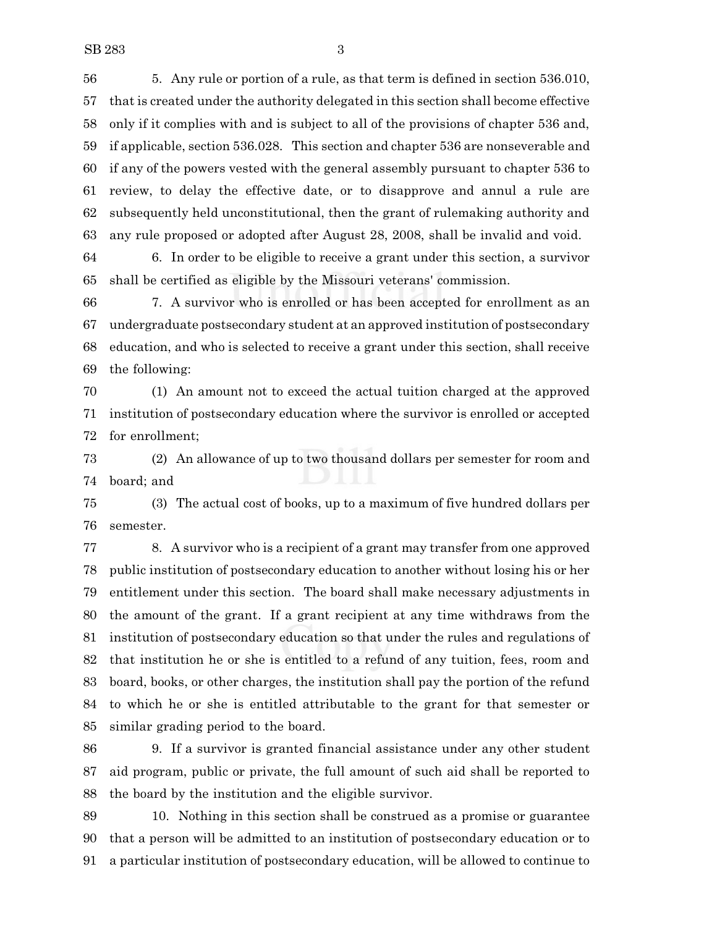5. Any rule or portion of a rule, as that term is defined in section 536.010, that is created under the authority delegated in this section shall become effective only if it complies with and is subject to all of the provisions of chapter 536 and, if applicable, section 536.028. This section and chapter 536 are nonseverable and if any of the powers vested with the general assembly pursuant to chapter 536 to review, to delay the effective date, or to disapprove and annul a rule are subsequently held unconstitutional, then the grant of rulemaking authority and any rule proposed or adopted after August 28, 2008, shall be invalid and void.

 6. In order to be eligible to receive a grant under this section, a survivor shall be certified as eligible by the Missouri veterans' commission.

 7. A survivor who is enrolled or has been accepted for enrollment as an undergraduate postsecondary student at an approved institution of postsecondary education, and who is selected to receive a grant under this section, shall receive the following:

 (1) An amount not to exceed the actual tuition charged at the approved institution of postsecondary education where the survivor is enrolled or accepted for enrollment;

 (2) An allowance of up to two thousand dollars per semester for room and board; and

 (3) The actual cost of books, up to a maximum of five hundred dollars per semester.

 8. A survivor who is a recipient of a grant may transfer from one approved public institution of postsecondary education to another without losing his or her entitlement under this section. The board shall make necessary adjustments in the amount of the grant. If a grant recipient at any time withdraws from the institution of postsecondary education so that under the rules and regulations of that institution he or she is entitled to a refund of any tuition, fees, room and board, books, or other charges, the institution shall pay the portion of the refund to which he or she is entitled attributable to the grant for that semester or similar grading period to the board.

 9. If a survivor is granted financial assistance under any other student aid program, public or private, the full amount of such aid shall be reported to the board by the institution and the eligible survivor.

 10. Nothing in this section shall be construed as a promise or guarantee that a person will be admitted to an institution of postsecondary education or to a particular institution of postsecondary education, will be allowed to continue to